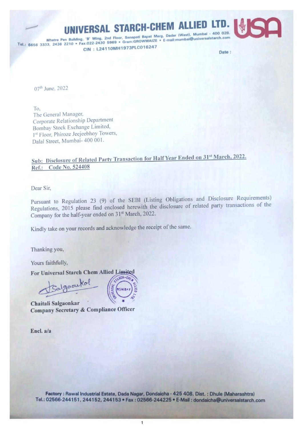## ERSAL STARCH-CHEM ALLIED LTD

Mhatre Pen Building, 'B' Wing, 2nd Floor, Senapati Bapat Marg. Dadar (West), Mumbai + 400 0201<br>Tel.: 6656 3333, 2436 2210 \* Fax:022-2430 5969 \* Gram:GROWMAIZE \* E-mail:mumbai@universalstarch.com CIN: L24110MH1973PLC016247 Date:

07<sup>th</sup> June, 2022

To, The General Manager, Corporate Relationship Department Bombay Stock Exchange Limited, 1st Floor, Phiroze Jeejeebhoy Towers, Dalal Street, Mumbai- 400 001.

## Sub: Disclosure of Related Party Transaction for Half Year Ended on 31% March, 2022. Ref.: Code No. 524408

Dear Sir,

Pursuant to Regulation 23 (9) of the SEBI (Listing Obligations and Disclosure Requirements) Pursuant to Regulation 23 (9) of the SEBI (Eisting Conguerons and the disclosure of related party transactions of the Company for the half-year ended on 31<sup>st</sup> March, 2022.

Kindly take on your records and acknowledge the receipt of the same.

Thanking you,<br>
Yours faithfully,<br>
For Universal Starch Chem Allied Limited<br>
Salgaoukol<br>
Chaitali Salgaonkar

Company Secretary & Compliance Officer

Encl. a/a



 $\mathbf{1}$